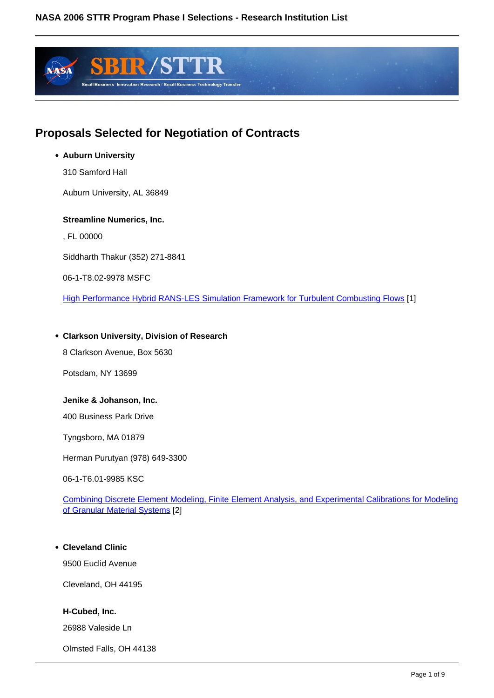

# **Proposals Selected for Negotiation of Contracts**

# **Auburn University**

310 Samford Hall

Auburn University, AL 36849

#### **Streamline Numerics, Inc.**

, FL 00000

Siddharth Thakur (352) 271-8841

06-1-T8.02-9978 MSFC

High Performance Hybrid RANS-LES Simulation Framework for Turbulent Combusting Flows [1]

#### **Clarkson University, Division of Research**

8 Clarkson Avenue, Box 5630

Potsdam, NY 13699

#### **Jenike & Johanson, Inc.**

400 Business Park Drive

Tyngsboro, MA 01879

Herman Purutyan (978) 649-3300

06-1-T6.01-9985 KSC

Combining Discrete Element Modeling, Finite Element Analysis, and Experimental Calibrations for Modeling of Granular Material Systems [2]

#### **Cleveland Clinic**

9500 Euclid Avenue

Cleveland, OH 44195

#### **H-Cubed, Inc.**

26988 Valeside Ln

Olmsted Falls, OH 44138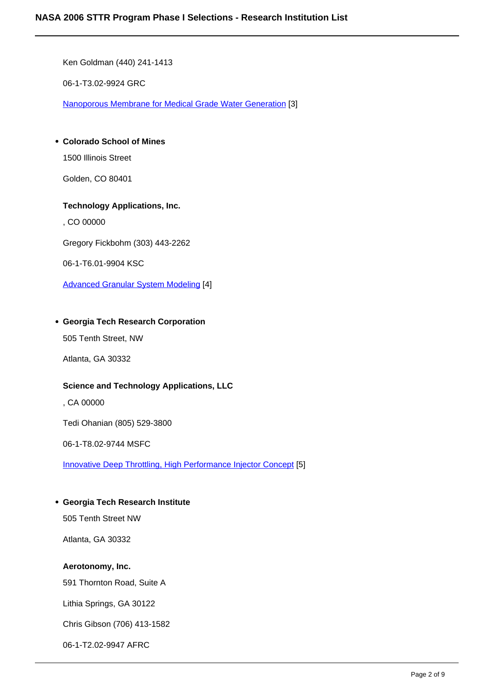Ken Goldman (440) 241-1413

06-1-T3.02-9924 GRC

Nanoporous Membrane for Medical Grade Water Generation [3]

# **Colorado School of Mines**

1500 Illinois Street

Golden, CO 80401

#### **Technology Applications, Inc.**

, CO 00000

Gregory Fickbohm (303) 443-2262

06-1-T6.01-9904 KSC

Advanced Granular System Modeling [4]

#### **Georgia Tech Research Corporation**

505 Tenth Street, NW

Atlanta, GA 30332

#### **Science and Technology Applications, LLC**

, CA 00000

Tedi Ohanian (805) 529-3800

06-1-T8.02-9744 MSFC

Innovative Deep Throttling, High Performance Injector Concept [5]

#### **Georgia Tech Research Institute**

505 Tenth Street NW

Atlanta, GA 30332

# **Aerotonomy, Inc.**

591 Thornton Road, Suite A

Lithia Springs, GA 30122

Chris Gibson (706) 413-1582

06-1-T2.02-9947 AFRC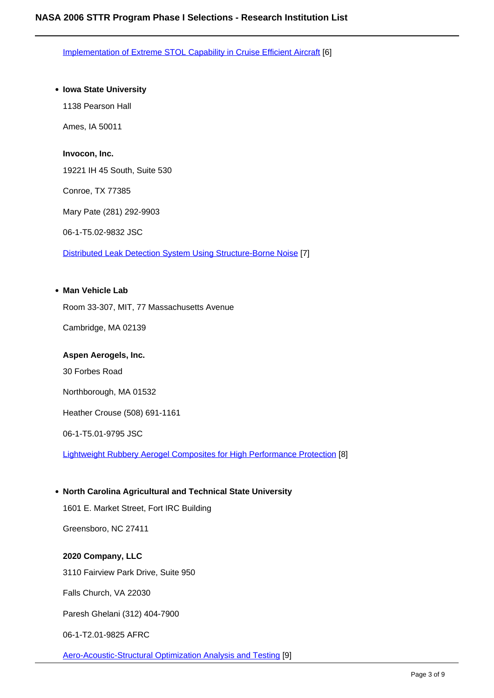Implementation of Extreme STOL Capability in Cruise Efficient Aircraft [6]

#### **Iowa State University**

1138 Pearson Hall

Ames, IA 50011

#### **Invocon, Inc.**

19221 IH 45 South, Suite 530

Conroe, TX 77385

Mary Pate (281) 292-9903

06-1-T5.02-9832 JSC

Distributed Leak Detection System Using Structure-Borne Noise [7]

#### **Man Vehicle Lab**

Room 33-307, MIT, 77 Massachusetts Avenue

Cambridge, MA 02139

#### **Aspen Aerogels, Inc.**

30 Forbes Road

Northborough, MA 01532

Heather Crouse (508) 691-1161

06-1-T5.01-9795 JSC

Lightweight Rubbery Aerogel Composites for High Performance Protection [8]

#### **North Carolina Agricultural and Technical State University**

1601 E. Market Street, Fort IRC Building

Greensboro, NC 27411

#### **2020 Company, LLC**

3110 Fairview Park Drive, Suite 950

Falls Church, VA 22030

Paresh Ghelani (312) 404-7900

06-1-T2.01-9825 AFRC

Aero-Acoustic-Structural Optimization Analysis and Testing [9]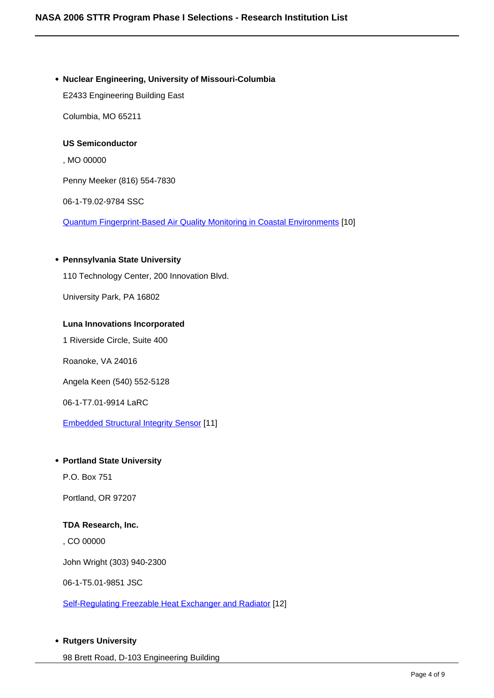#### **Nuclear Engineering, University of Missouri-Columbia**

E2433 Engineering Building East

Columbia, MO 65211

# **US Semiconductor**

, MO 00000

Penny Meeker (816) 554-7830

06-1-T9.02-9784 SSC

Quantum Fingerprint-Based Air Quality Monitoring in Coastal Environments [10]

#### **Pennsylvania State University**

110 Technology Center, 200 Innovation Blvd.

University Park, PA 16802

#### **Luna Innovations Incorporated**

1 Riverside Circle, Suite 400

Roanoke, VA 24016

Angela Keen (540) 552-5128

06-1-T7.01-9914 LaRC

Embedded Structural Integrity Sensor [11]

#### **Portland State University**

P.O. Box 751

Portland, OR 97207

#### **TDA Research, Inc.**

, CO 00000

John Wright (303) 940-2300

06-1-T5.01-9851 JSC

Self-Regulating Freezable Heat Exchanger and Radiator [12]

#### **Rutgers University**

98 Brett Road, D-103 Engineering Building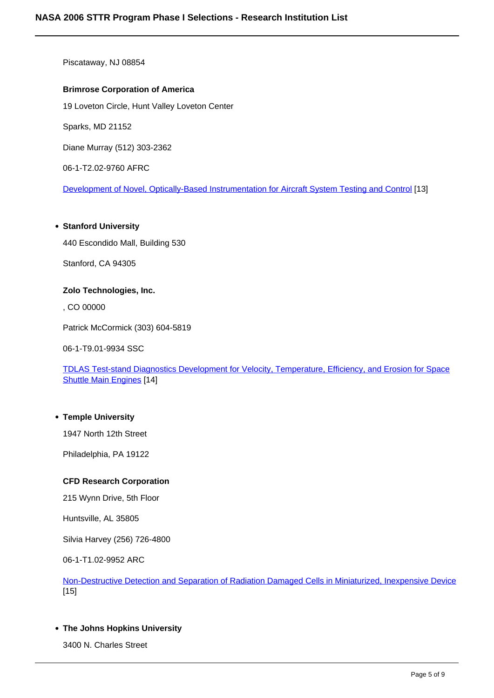Piscataway, NJ 08854

#### **Brimrose Corporation of America**

19 Loveton Circle, Hunt Valley Loveton Center

Sparks, MD 21152

Diane Murray (512) 303-2362

06-1-T2.02-9760 AFRC

Development of Novel, Optically-Based Instrumentation for Aircraft System Testing and Control [13]

#### **Stanford University**

440 Escondido Mall, Building 530

Stanford, CA 94305

#### **Zolo Technologies, Inc.**

, CO 00000

Patrick McCormick (303) 604-5819

06-1-T9.01-9934 SSC

TDLAS Test-stand Diagnostics Development for Velocity, Temperature, Efficiency, and Erosion for Space Shuttle Main Engines [14]

#### **Temple University**

1947 North 12th Street

Philadelphia, PA 19122

#### **CFD Research Corporation**

215 Wynn Drive, 5th Floor

Huntsville, AL 35805

Silvia Harvey (256) 726-4800

06-1-T1.02-9952 ARC

Non-Destructive Detection and Separation of Radiation Damaged Cells in Miniaturized, Inexpensive Device [15]

#### **The Johns Hopkins University**

3400 N. Charles Street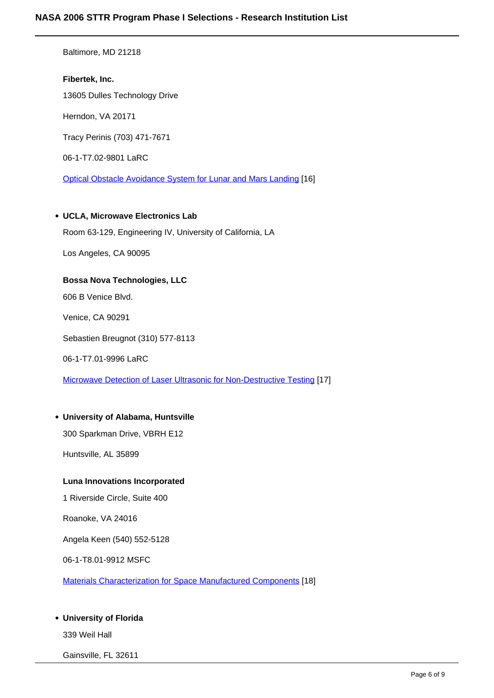Baltimore, MD 21218

**Fibertek, Inc.** 13605 Dulles Technology Drive Herndon, VA 20171 Tracy Perinis (703) 471-7671 06-1-T7.02-9801 LaRC Optical Obstacle Avoidance System for Lunar and Mars Landing [16]

#### **UCLA, Microwave Electronics Lab**

Room 63-129, Engineering IV, University of California, LA

Los Angeles, CA 90095

#### **Bossa Nova Technologies, LLC**

606 B Venice Blvd.

Venice, CA 90291

Sebastien Breugnot (310) 577-8113

06-1-T7.01-9996 LaRC

Microwave Detection of Laser Ultrasonic for Non-Destructive Testing [17]

#### **University of Alabama, Huntsville**

300 Sparkman Drive, VBRH E12

Huntsville, AL 35899

#### **Luna Innovations Incorporated**

1 Riverside Circle, Suite 400

Roanoke, VA 24016

Angela Keen (540) 552-5128

06-1-T8.01-9912 MSFC

Materials Characterization for Space Manufactured Components [18]

#### **University of Florida**

339 Weil Hall

Gainsville, FL 32611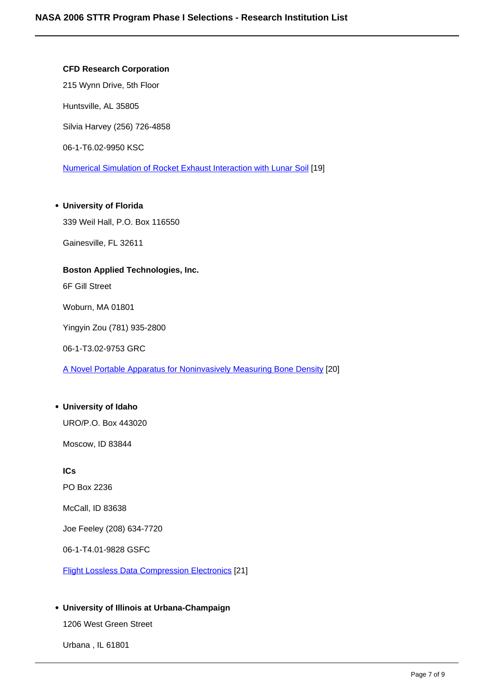# **CFD Research Corporation**

215 Wynn Drive, 5th Floor

Huntsville, AL 35805

Silvia Harvey (256) 726-4858

06-1-T6.02-9950 KSC

Numerical Simulation of Rocket Exhaust Interaction with Lunar Soil [19]

#### **University of Florida**

339 Weil Hall, P.O. Box 116550

Gainesville, FL 32611

# **Boston Applied Technologies, Inc.**

6F Gill Street

Woburn, MA 01801

Yingyin Zou (781) 935-2800

06-1-T3.02-9753 GRC

A Novel Portable Apparatus for Noninvasively Measuring Bone Density [20]

#### **University of Idaho**

URO/P.O. Box 443020

Moscow, ID 83844

**ICs** PO Box 2236

McCall, ID 83638

Joe Feeley (208) 634-7720

06-1-T4.01-9828 GSFC

Flight Lossless Data Compression Electronics [21]

# **University of Illinois at Urbana-Champaign**

1206 West Green Street

Urbana , IL 61801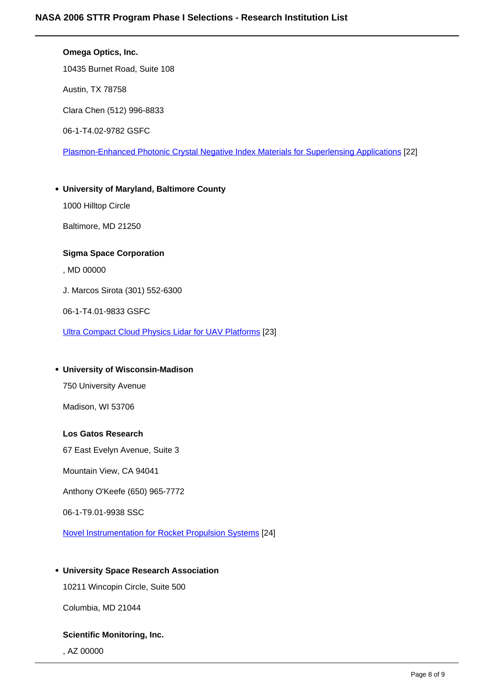# **Omega Optics, Inc.**  10435 Burnet Road, Suite 108 Austin, TX 78758 Clara Chen (512) 996-8833 06-1-T4.02-9782 GSFC Plasmon-Enhanced Photonic Crystal Negative Index Materials for Superlensing Applications [22] **University of Maryland, Baltimore County** 1000 Hilltop Circle Baltimore, MD 21250 **Sigma Space Corporation** , MD 00000 J. Marcos Sirota (301) 552-6300 06-1-T4.01-9833 GSFC Ultra Compact Cloud Physics Lidar for UAV Platforms [23] **University of Wisconsin-Madison** 750 University Avenue Madison, WI 53706

# **Los Gatos Research**

67 East Evelyn Avenue, Suite 3

Mountain View, CA 94041

Anthony O'Keefe (650) 965-7772

06-1-T9.01-9938 SSC

Novel Instrumentation for Rocket Propulsion Systems [24]

# **University Space Research Association**

10211 Wincopin Circle, Suite 500

Columbia, MD 21044

#### **Scientific Monitoring, Inc.**

, AZ 00000